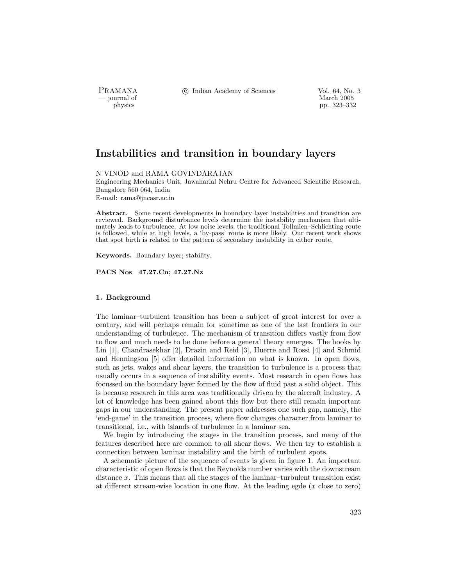PRAMANA °c Indian Academy of Sciences Vol. 64, No. 3

— journal of March 2005<br>— physics (pp. 323–33) physics pp. 323–332

# Instabilities and transition in boundary layers

N VINOD and RAMA GOVINDARAJAN

Engineering Mechanics Unit, Jawaharlal Nehru Centre for Advanced Scientific Research, Bangalore 560 064, India

E-mail: rama@jncasr.ac.in

Abstract. Some recent developments in boundary layer instabilities and transition are reviewed. Background disturbance levels determine the instability mechanism that ultimately leads to turbulence. At low noise levels, the traditional Tollmien–Schlichting route is followed, while at high levels, a 'by-pass' route is more likely. Our recent work shows that spot birth is related to the pattern of secondary instability in either route.

Keywords. Boundary layer; stability.

PACS Nos 47.27.Cn; 47.27.Nz

# 1. Background

The laminar–turbulent transition has been a subject of great interest for over a century, and will perhaps remain for sometime as one of the last frontiers in our understanding of turbulence. The mechanism of transition differs vastly from flow to flow and much needs to be done before a general theory emerges. The books by Lin [1], Chandrasekhar [2], Drazin and Reid [3], Huerre and Rossi [4] and Schmid and Henningson [5] offer detailed information on what is known. In open flows, such as jets, wakes and shear layers, the transition to turbulence is a process that usually occurs in a sequence of instability events. Most research in open flows has focussed on the boundary layer formed by the flow of fluid past a solid object. This is because research in this area was traditionally driven by the aircraft industry. A lot of knowledge has been gained about this flow but there still remain important gaps in our understanding. The present paper addresses one such gap, namely, the 'end-game' in the transition process, where flow changes character from laminar to transitional, i.e., with islands of turbulence in a laminar sea.

We begin by introducing the stages in the transition process, and many of the features described here are common to all shear flows. We then try to establish a connection between laminar instability and the birth of turbulent spots.

A schematic picture of the sequence of events is given in figure 1. An important characteristic of open flows is that the Reynolds number varies with the downstream distance x. This means that all the stages of the laminar–turbulent transition exist at different stream-wise location in one flow. At the leading egde  $(x \text{ close to zero})$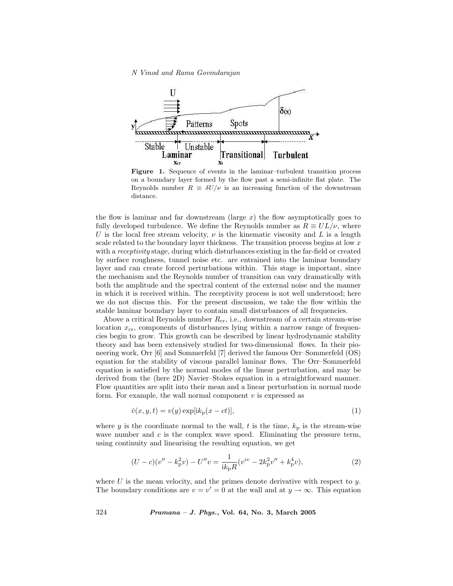

Figure 1. Sequence of events in the laminar–turbulent transition process on a boundary layer formed by the flow past a semi-infinite flat plate. The Reynolds number  $R \equiv \delta U/\nu$  is an increasing function of the downstream distance.

the flow is laminar and far downstream (large  $x$ ) the flow asymptotically goes to fully developed turbulence. We define the Reynolds number as  $R \equiv UL/\nu$ , where U is the local free stream velocity,  $\nu$  is the kinematic viscosity and L is a length scale related to the boundary layer thickness. The transition process begins at low  $x$ with a receptivity stage, during which disturbances existing in the far-field or created by surface roughness, tunnel noise etc. are entrained into the laminar boundary layer and can create forced perturbations within. This stage is important, since the mechanism and the Reynolds number of transition can vary dramatically with both the amplitude and the spectral content of the external noise and the manner in which it is received within. The receptivity process is not well understood; here we do not discuss this. For the present discussion, we take the flow within the stable laminar boundary layer to contain small disturbances of all frequencies.

Above a critical Reynolds number  $R_{cr}$ , i.e., downstream of a certain stream-wise location  $x_{cr}$ , components of disturbances lying within a narrow range of frequencies begin to grow. This growth can be described by linear hydrodynamic stability theory and has been extensively studied for two-dimensional flows. In their pioneering work, Orr [6] and Sommerfeld [7] derived the famous Orr–Sommerfeld (OS) equation for the stability of viscous parallel laminar flows. The Orr–Sommerfeld equation is satisfied by the normal modes of the linear perturbation, and may be derived from the (here 2D) Navier–Stokes equation in a straightforward manner. Flow quantities are split into their mean and a linear perturbation in normal mode form. For example, the wall normal component  $v$  is expressed as

$$
\hat{v}(x, y, t) = v(y) \exp[i k_{\rm p}(x - ct)],\tag{1}
$$

where y is the coordinate normal to the wall, t is the time,  $k_p$  is the stream-wise wave number and  $c$  is the complex wave speed. Eliminating the pressure term, using continuity and linearising the resulting equation, we get

$$
(U - c)(v'' - k_p^2 v) - U''v = \frac{1}{ik_p R}(v^{iv} - 2k_p^2 v'' + k_p^4 v),
$$
\n(2)

where U is the mean velocity, and the primes denote derivative with respect to  $y$ . The boundary conditions are  $v = v' = 0$  at the wall and at  $y \to \infty$ . This equation

324 Pramana – J. Phys., Vol. 64, No. 3, March 2005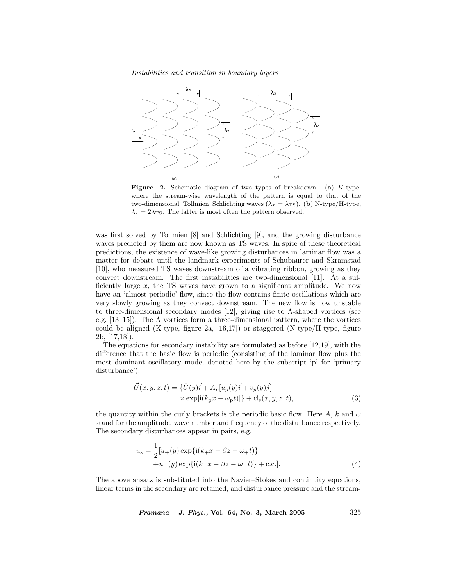Instabilities and transition in boundary layers



Figure 2. Schematic diagram of two types of breakdown. (a) K-type, where the stream-wise wavelength of the pattern is equal to that of the two-dimensional Tollmien–Schlichting waves ( $\lambda_x = \lambda_{\text{TS}}$ ). (b) N-type/H-type,  $\lambda_x = 2\lambda_{\text{TS}}$ . The latter is most often the pattern observed.

was first solved by Tollmien [8] and Schlichting [9], and the growing disturbance waves predicted by them are now known as TS waves. In spite of these theoretical predictions, the existence of wave-like growing disturbances in laminar flow was a matter for debate until the landmark experiments of Schubaurer and Skramstad [10], who measured TS waves downstream of a vibrating ribbon, growing as they convect downstream. The first instabilities are two-dimensional [11]. At a sufficiently large  $x$ , the TS waves have grown to a significant amplitude. We now have an 'almost-periodic' flow, since the flow contains finite oscillations which are very slowly growing as they convect downstream. The new flow is now unstable to three-dimensional secondary modes [12], giving rise to Λ-shaped vortices (see e.g. [13–15]). The  $\Lambda$  vortices form a three-dimensional pattern, where the vortices could be aligned  $(K-type, figure 2a, [16,17])$  or staggered  $(N-type/H-type, figure 1)$ 2b, [17,18]).

The equations for secondary instability are formulated as before [12,19], with the difference that the basic flow is periodic (consisting of the laminar flow plus the most dominant oscillatory mode, denoted here by the subscript 'p' for 'primary disturbance'):

$$
\vec{U}(x, y, z, t) = \{\vec{U}(y)\vec{i} + A_p[u_p(y)\vec{i} + v_p(y)\vec{j}] \times \exp[i(k_p x - \omega_p t)]\} + \vec{\mathbf{u}}_s(x, y, z, t),
$$
\n(3)

the quantity within the curly brackets is the periodic basic flow. Here A, k and  $\omega$ stand for the amplitude, wave number and frequency of the disturbance respectively. The secondary disturbances appear in pairs, e.g.

$$
u_s = \frac{1}{2} [u_+(y) \exp\{i(k_+ x + \beta z - \omega_+ t)\} + u_-(y) \exp\{i(k_- x - \beta z - \omega_- t)\} + \text{c.c.}].
$$
\n(4)

The above ansatz is substituted into the Navier–Stokes and continuity equations, linear terms in the secondary are retained, and disturbance pressure and the stream-

 $Pramana - J. Phys., Vol. 64, No. 3, March 2005$  325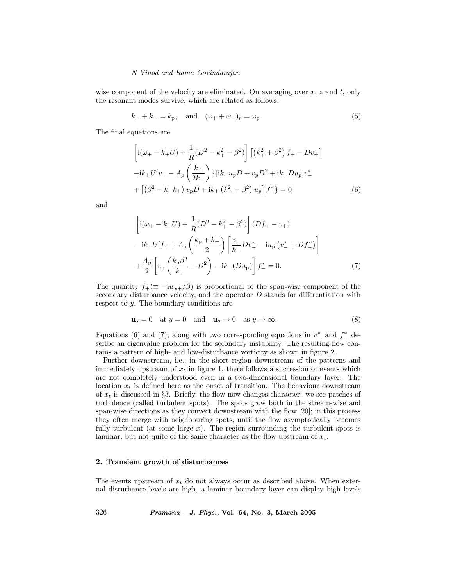wise component of the velocity are eliminated. On averaging over  $x, z$  and  $t$ , only the resonant modes survive, which are related as follows:

$$
k_{+} + k_{-} = k_{p}
$$
, and  $(\omega_{+} + \omega_{-})_{r} = \omega_{p}$ . (5)

The final equations are

$$
\left[i(\omega_{+} - k_{+}U) + \frac{1}{R}(D^{2} - k_{+}^{2} - \beta^{2})\right] \left[(k_{+}^{2} + \beta^{2}) f_{+} - Dv_{+}\right]
$$

$$
-ik_{+}U'v_{+} - A_{p}\left(\frac{k_{+}}{2k_{-}}\right) \left\{[ik_{+}u_{p}D + v_{p}D^{2} + ik_{-}Du_{p}]v_{-}^{*}\right\}
$$

$$
+ \left[\left(\beta^{2} - k_{-}k_{+}\right)v_{p}D + ik_{+}\left(k_{-}^{2} + \beta^{2}\right)u_{p}\right]f_{-}^{*}\right\} = 0
$$
(6)

and

$$
\left[i(\omega_{+} - k_{+}U) + \frac{1}{R}(D^{2} - k_{+}^{2} - \beta^{2})\right](Df_{+} - v_{+})
$$
\n
$$
-ik_{+}U'f_{+} + A_{p}\left(\frac{k_{p} + k_{-}}{2}\right)\left[\frac{v_{p}}{k_{-}}Dv_{-}^{*} - iu_{p}\left(v_{-}^{*} + Df_{-}^{*}\right)\right]
$$
\n
$$
+ \frac{A_{p}}{2}\left[v_{p}\left(\frac{k_{p}\beta^{2}}{k_{-}} + D^{2}\right) - ik_{-}(Du_{p})\right]f_{-}^{*} = 0.
$$
\n(7)

The quantity  $f_+(\equiv -i w_{s+}/\beta)$  is proportional to the span-wise component of the secondary disturbance velocity, and the operator  $D$  stands for differentiation with respect to y. The boundary conditions are

$$
\mathbf{u}_s = 0 \quad \text{at } y = 0 \quad \text{and} \quad \mathbf{u}_s \to 0 \quad \text{as } y \to \infty. \tag{8}
$$

Equations (6) and (7), along with two corresponding equations in  $v_{-}^{*}$  and  $f_{-}^{*}$  describe an eigenvalue problem for the secondary instability. The resulting flow contains a pattern of high- and low-disturbance vorticity as shown in figure 2.

Further downstream, i.e., in the short region downstream of the patterns and immediately upstream of  $x_t$  in figure 1, there follows a succession of events which are not completely understood even in a two-dimensional boundary layer. The location  $x_t$  is defined here as the onset of transition. The behaviour downstream of  $x_t$  is discussed in §3. Briefly, the flow now changes character: we see patches of turbulence (called turbulent spots). The spots grow both in the stream-wise and span-wise directions as they convect downstream with the flow [20]; in this process they often merge with neighbouring spots, until the flow asymptotically becomes fully turbulent (at some large  $x$ ). The region surrounding the turbulent spots is laminar, but not quite of the same character as the flow upstream of  $x_t$ .

## 2. Transient growth of disturbances

The events upstream of  $x_t$  do not always occur as described above. When external disturbance levels are high, a laminar boundary layer can display high levels

326 Pramana – J. Phys., Vol. 64, No. 3, March 2005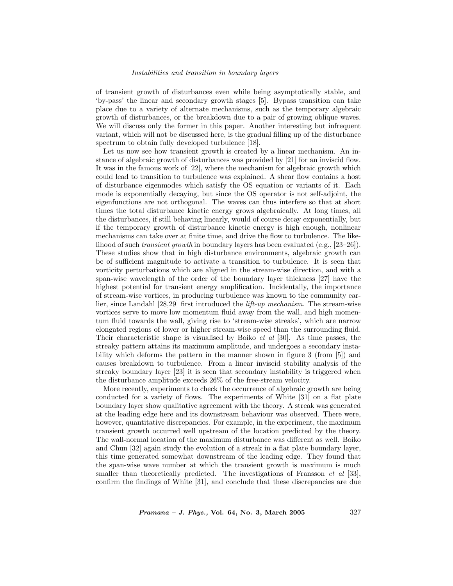#### Instabilities and transition in boundary layers

of transient growth of disturbances even while being asymptotically stable, and 'by-pass' the linear and secondary growth stages [5]. Bypass transition can take place due to a variety of alternate mechanisms, such as the temporary algebraic growth of disturbances, or the breakdown due to a pair of growing oblique waves. We will discuss only the former in this paper. Another interesting but infrequent variant, which will not be discussed here, is the gradual filling up of the disturbance spectrum to obtain fully developed turbulence [18].

Let us now see how transient growth is created by a linear mechanism. An instance of algebraic growth of disturbances was provided by [21] for an inviscid flow. It was in the famous work of [22], where the mechanism for algebraic growth which could lead to transition to turbulence was explained. A shear flow contains a host of disturbance eigenmodes which satisfy the OS equation or variants of it. Each mode is exponentially decaying, but since the OS operator is not self-adjoint, the eigenfunctions are not orthogonal. The waves can thus interfere so that at short times the total disturbance kinetic energy grows algebraically. At long times, all the disturbances, if still behaving linearly, would of course decay exponentially, but if the temporary growth of disturbance kinetic energy is high enough, nonlinear mechanisms can take over at finite time, and drive the flow to turbulence. The likelihood of such transient growth in boundary layers has been evaluated (e.g., [23–26]). These studies show that in high disturbance environments, algebraic growth can be of sufficient magnitude to activate a transition to turbulence. It is seen that vorticity perturbations which are aligned in the stream-wise direction, and with a span-wise wavelength of the order of the boundary layer thickness [27] have the highest potential for transient energy amplification. Incidentally, the importance of stream-wise vortices, in producing turbulence was known to the community earlier, since Landahl [28,29] first introduced the lift-up mechanism. The stream-wise vortices serve to move low momentum fluid away from the wall, and high momentum fluid towards the wall, giving rise to 'stream-wise streaks', which are narrow elongated regions of lower or higher stream-wise speed than the surrounding fluid. Their characteristic shape is visualised by Boiko et al [30]. As time passes, the streaky pattern attains its maximum amplitude, and undergoes a secondary instability which deforms the pattern in the manner shown in figure 3 (from [5]) and causes breakdown to turbulence. From a linear inviscid stability analysis of the streaky boundary layer [23] it is seen that secondary instability is triggered when the disturbance amplitude exceeds 26% of the free-stream velocity.

More recently, experiments to check the occurrence of algebraic growth are being conducted for a variety of flows. The experiments of White [31] on a flat plate boundary layer show qualitative agreement with the theory. A streak was generated at the leading edge here and its downstream behaviour was observed. There were, however, quantitative discrepancies. For example, in the experiment, the maximum transient growth occurred well upstream of the location predicted by the theory. The wall-normal location of the maximum disturbance was different as well. Boiko and Chun [32] again study the evolution of a streak in a flat plate boundary layer, this time generated somewhat downstream of the leading edge. They found that the span-wise wave number at which the transient growth is maximum is much smaller than theoretically predicted. The investigations of Fransson *et al* [33], confirm the findings of White [31], and conclude that these discrepancies are due

 $Pramana - J. Phys., Vol. 64, No. 3, March 2005$  327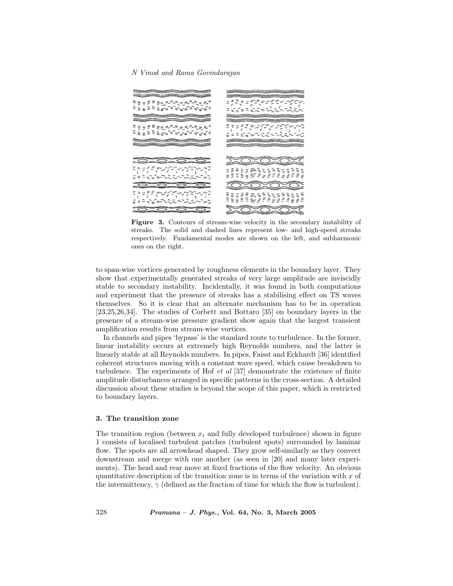

Figure 3. Contours of stream-wise velocity in the secondary instability of streaks. The solid and dashed lines represent low- and high-speed streaks respectively. Fundamental modes are shown on the left, and subharmonic ones on the right.

to span-wise vortices generated by roughness elements in the boundary layer. They show that experimentally generated streaks of very large amplitude are inviscidly stable to secondary instability. Incidentally, it was found in both computations and experiment that the presence of streaks has a stabilising effect on TS waves themselves. So it is clear that an alternate mechanism has to be in operation [23,25,26,34]. The studies of Corbett and Bottaro [35] on boundary layers in the presence of a stream-wise pressure gradient show again that the largest transient amplification results from stream-wise vortices.

In channels and pipes 'bypass' is the standard route to turbulence. In the former, linear instability occurs at extremely high Reynolds numbers, and the latter is linearly stable at all Reynolds numbers. In pipes, Faisst and Eckhardt [36] identified coherent structures moving with a constant wave speed, which cause breakdown to turbulence. The experiments of Hof  $et$  al [37] demonstrate the existence of finite amplitude disturbances arranged in specific patterns in the cross-section. A detailed discussion about these studies is beyond the scope of this paper, which is restricted to boundary layers.

## 3. The transition zone

The transition region (between  $x_t$  and fully developed turbulence) shown in figure 1 consists of localised turbulent patches (turbulent spots) surrounded by laminar flow. The spots are all arrowhead shaped. They grow self-similarly as they convect downstream and merge with one another (as seen in [20] and many later experiments). The head and rear move at fixed fractions of the flow velocity. An obvious quantitative description of the transition zone is in terms of the variation with  $x$  of the intermittency,  $\gamma$  (defined as the fraction of time for which the flow is turbulent).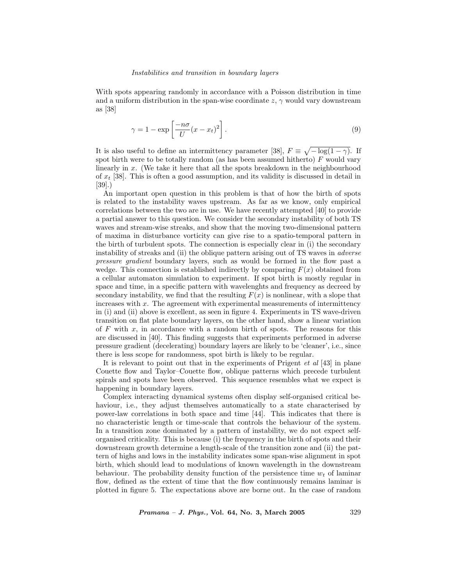#### Instabilities and transition in boundary layers

With spots appearing randomly in accordance with a Poisson distribution in time and a uniform distribution in the span-wise coordinate  $z, \gamma$  would vary downstream as [38]

$$
\gamma = 1 - \exp\left[\frac{-n\sigma}{U}(x - x_t)^2\right].\tag{9}
$$

It is also useful to define an intermittency parameter [38],  $F \equiv \sqrt{-\log(1-\gamma)}$ . If spot birth were to be totally random (as has been assumed hitherto)  $F$  would vary linearly in x. (We take it here that all the spots breakdown in the neighbourhood of  $x_t$  [38]. This is often a good assumption, and its validity is discussed in detail in [39].)

An important open question in this problem is that of how the birth of spots is related to the instability waves upstream. As far as we know, only empirical correlations between the two are in use. We have recently attempted [40] to provide a partial answer to this question. We consider the secondary instability of both TS waves and stream-wise streaks, and show that the moving two-dimensional pattern of maxima in disturbance vorticity can give rise to a spatio-temporal pattern in the birth of turbulent spots. The connection is especially clear in (i) the secondary instability of streaks and (ii) the oblique pattern arising out of TS waves in adverse pressure gradient boundary layers, such as would be formed in the flow past a wedge. This connection is established indirectly by comparing  $F(x)$  obtained from a cellular automaton simulation to experiment. If spot birth is mostly regular in space and time, in a specific pattern with wavelenghts and frequency as decreed by secondary instability, we find that the resulting  $F(x)$  is nonlinear, with a slope that increases with x. The agreement with experimental measurements of intermittency in (i) and (ii) above is excellent, as seen in figure 4. Experiments in TS wave-driven transition on flat plate boundary layers, on the other hand, show a linear variation of  $F$  with  $x$ , in accordance with a random birth of spots. The reasons for this are discussed in [40]. This finding suggests that experiments performed in adverse pressure gradient (decelerating) boundary layers are likely to be 'cleaner', i.e., since there is less scope for randomness, spot birth is likely to be regular.

It is relevant to point out that in the experiments of Prigent et al [43] in plane Couette flow and Taylor–Couette flow, oblique patterns which precede turbulent spirals and spots have been observed. This sequence resembles what we expect is happening in boundary layers.

Complex interacting dynamical systems often display self-organised critical behaviour, i.e., they adjust themselves automatically to a state characterised by power-law correlations in both space and time [44]. This indicates that there is no characteristic length or time-scale that controls the behaviour of the system. In a transition zone dominated by a pattern of instability, we do not expect selforganised criticality. This is because (i) the frequency in the birth of spots and their downstream growth determine a length-scale of the transition zone and (ii) the pattern of highs and lows in the instability indicates some span-wise alignment in spot birth, which should lead to modulations of known wavelength in the downstream behaviour. The probability density function of the persistence time  $w_t$  of laminar flow, defined as the extent of time that the flow continuously remains laminar is plotted in figure 5. The expectations above are borne out. In the case of random

 $Pramana - J. Phys., Vol. 64, No. 3, March 2005$  329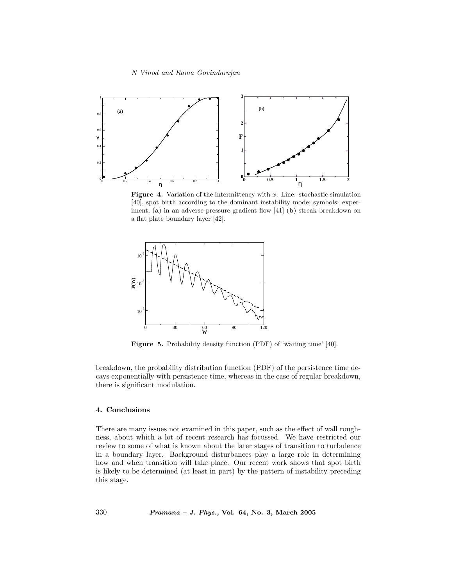

Figure 4. Variation of the intermittency with  $x$ . Line: stochastic simulation [40], spot birth according to the dominant instability mode; symbols: experiment,  $(a)$  in an adverse pressure gradient flow [41] (b) streak breakdown on a flat plate boundary layer [42].



Figure 5. Probability density function (PDF) of 'waiting time' [40].

breakdown, the probability distribution function (PDF) of the persistence time decays exponentially with persistence time, whereas in the case of regular breakdown, there is significant modulation.

## 4. Conclusions

There are many issues not examined in this paper, such as the effect of wall roughness, about which a lot of recent research has focussed. We have restricted our review to some of what is known about the later stages of transition to turbulence in a boundary layer. Background disturbances play a large role in determining how and when transition will take place. Our recent work shows that spot birth is likely to be determined (at least in part) by the pattern of instability preceding this stage.

330 Pramana – J. Phys., Vol. 64, No. 3, March 2005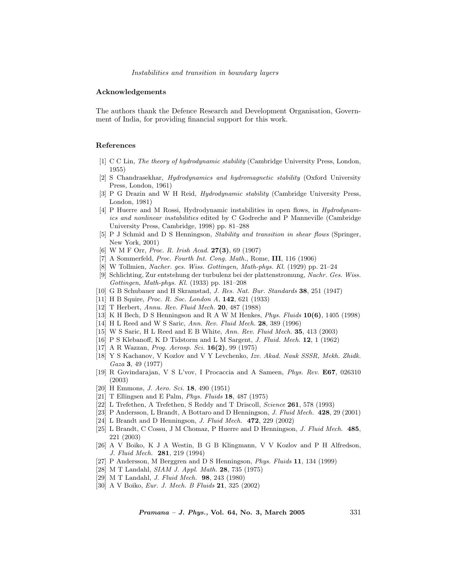#### Acknowledgements

The authors thank the Defence Research and Development Organisation, Government of India, for providing financial support for this work.

#### References

- [1] C C Lin, The theory of hydrodynamic stability (Cambridge University Press, London, 1955)
- [2] S Chandrasekhar, Hydrodynamics and hydromagnetic stability (Oxford University Press, London, 1961)
- [3] P G Drazin and W H Reid, Hydrodynamic stability (Cambridge University Press, London, 1981)
- [4] P Huerre and M Rossi, Hydrodynamic instabilities in open flows, in Hydrodynamics and nonlinear instabilities edited by C Godreche and P Manneville (Cambridge University Press, Cambridge, 1998) pp. 81–288
- [5] P J Schmid and D S Henningson, Stability and transition in shear flows (Springer, New York, 2001)
- [6] W M F Orr, Proc. R. Irish Acad. 27(3), 69 (1907)
- [7] A Sommerfeld, Proc. Fourth Int. Cong. Math., Rome, III, 116 (1906)
- [8] W Tollmien, Nacher. ges. Wiss. Gottingen, Math-phys. Kl. (1929) pp. 21–24
- [9] Schlichting, Zur entstehung der turbulenz bei der plattenstromung, Nachr. Ges. Wiss. Gottingen, Math-phys. Kl. (1933) pp. 181–208
- [10] G B Schubauer and H Skramstad, J. Res. Nat. Bur. Standards 38, 251 (1947)
- [11] H B Squire, Proc. R. Soc. London A, 142, 621 (1933)
- [12] T Herbert, Annu. Rev. Fluid Mech. 20, 487 (1988)
- [13] K H Bech, D S Henningson and R A W M Henkes, Phys. Fluids 10(6), 1405 (1998)
- [14] H L Reed and W S Saric, Ann. Rev. Fluid Mech. 28, 389 (1996)
- [15] W S Saric, H L Reed and E B White, Ann. Rev. Fluid Mech. 35, 413 (2003)
- [16] P S Klebanoff, K D Tidstorm and L M Sargent, J. Fluid. Mech. 12, 1 (1962)
- [17] A R Wazzan, *Prog. Aerosp. Sci.* **16(2)**, 99 (1975)
- [18] Y S Kachanov, V Kozlov and V Y Levchenko, Izv. Akad. Nauk SSSR, Mekh. Zhidk. Gaza 3, 49 (1977)
- [19] R Govindarajan, V S L'vov, I Procaccia and A Sameen, Phys. Rev. E67, 026310 (2003)
- [20] H Emmons, *J. Aero. Sci.* **18**, 490 (1951)
- [21] T Ellingsen and E Palm, *Phys. Fluids* **18**, 487 (1975)
- [22] L Trefethen, A Trefethen, S Reddy and T Driscoll, Science 261, 578 (1993)
- [23] P Andersson, L Brandt, A Bottaro and D Henningson, J. Fluid Mech. 428, 29 (2001)
- [24] L Brandt and D Henningson, *J. Fluid Mech.* **472**, 229 (2002)
- [25] L Brandt, C Cossu, J M Chomaz, P Huerre and D Henningson, J. Fluid Mech. 485, 221 (2003)
- [26] A V Boiko, K J A Westin, B G B Klingmann, V V Kozlov and P H Alfredson, J. Fluid Mech. 281, 219 (1994)
- [27] P Andersson, M Berggren and D S Henningson, Phys. Fluids 11, 134 (1999)
- [28] M T Landahl, SIAM J. Appl. Math. 28, 735 (1975)
- [29] M T Landahl, J. Fluid Mech. 98, 243 (1980)
- [30] A V Boiko, Eur. J. Mech. B Fluids 21, 325 (2002)